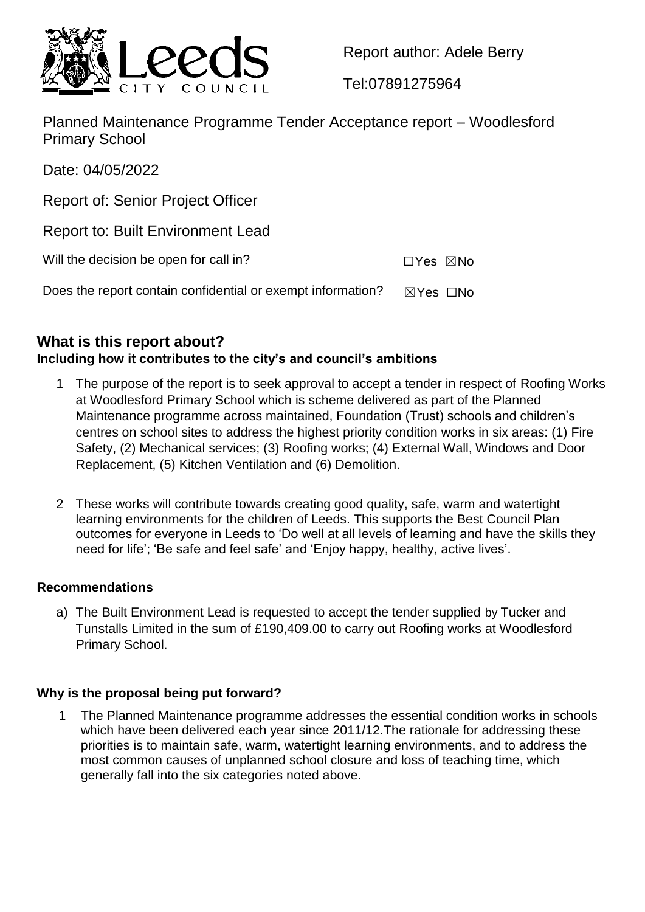

Report author: Adele Berry

Tel:07891275964

Planned Maintenance Programme Tender Acceptance report – Woodlesford Primary School

Date: 04/05/2022

Report of: Senior Project Officer

Report to: Built Environment Lead

Will the decision be open for call in? ☐Yes ☒No

Does the report contain confidential or exempt information?  $\boxtimes$  Yes  $\Box$ No

# **What is this report about?**

# **Including how it contributes to the city's and council's ambitions**

- The purpose of the report is to seek approval to accept a tender in respect of Roofing Works at Woodlesford Primary School which is scheme delivered as part of the Planned Maintenance programme across maintained, Foundation (Trust) schools and children's centres on school sites to address the highest priority condition works in six areas: (1) Fire Safety, (2) Mechanical services; (3) Roofing works; (4) External Wall, Windows and Door Replacement, (5) Kitchen Ventilation and (6) Demolition.
- 2 These works will contribute towards creating good quality, safe, warm and watertight learning environments for the children of Leeds. This supports the Best Council Plan outcomes for everyone in Leeds to 'Do well at all levels of learning and have the skills they need for life'; 'Be safe and feel safe' and 'Enjoy happy, healthy, active lives'.

# **Recommendations**

a) The Built Environment Lead is requested to accept the tender supplied by Tucker and Tunstalls Limited in the sum of £190,409.00 to carry out Roofing works at Woodlesford Primary School.

# **Why is the proposal being put forward?**

1 The Planned Maintenance programme addresses the essential condition works in schools which have been delivered each year since 2011/12. The rationale for addressing these priorities is to maintain safe, warm, watertight learning environments, and to address the most common causes of unplanned school closure and loss of teaching time, which generally fall into the six categories noted above.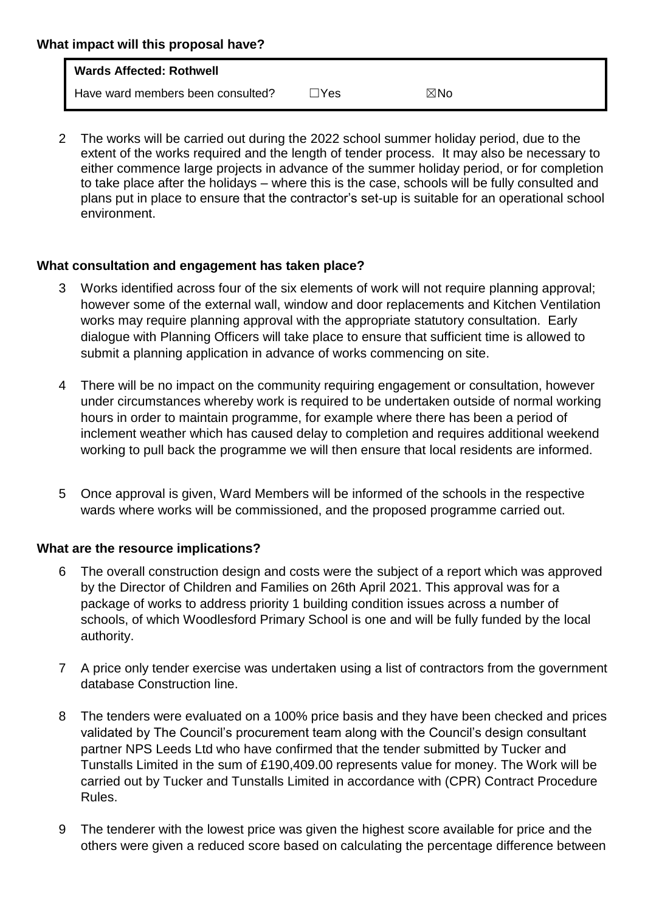| What impact will this proposal have? |                                   |      |     |  |
|--------------------------------------|-----------------------------------|------|-----|--|
|                                      | <b>Wards Affected: Rothwell</b>   |      |     |  |
|                                      | Have ward members been consulted? | lYes | ⊠No |  |

2 The works will be carried out during the 2022 school summer holiday period, due to the extent of the works required and the length of tender process. It may also be necessary to either commence large projects in advance of the summer holiday period, or for completion to take place after the holidays – where this is the case, schools will be fully consulted and plans put in place to ensure that the contractor's set-up is suitable for an operational school environment.

### **What consultation and engagement has taken place?**

- Works identified across four of the six elements of work will not require planning approval; however some of the external wall, window and door replacements and Kitchen Ventilation works may require planning approval with the appropriate statutory consultation. Early dialogue with Planning Officers will take place to ensure that sufficient time is allowed to submit a planning application in advance of works commencing on site.
- 4 There will be no impact on the community requiring engagement or consultation, however under circumstances whereby work is required to be undertaken outside of normal working hours in order to maintain programme, for example where there has been a period of inclement weather which has caused delay to completion and requires additional weekend working to pull back the programme we will then ensure that local residents are informed.
- 5 Once approval is given, Ward Members will be informed of the schools in the respective wards where works will be commissioned, and the proposed programme carried out.

#### **What are the resource implications?**

- 6 The overall construction design and costs were the subject of a report which was approved by the Director of Children and Families on 26th April 2021. This approval was for a package of works to address priority 1 building condition issues across a number of schools, of which Woodlesford Primary School is one and will be fully funded by the local authority.
- 7 A price only tender exercise was undertaken using a list of contractors from the government database Construction line.
- 8 The tenders were evaluated on a 100% price basis and they have been checked and prices validated by The Council's procurement team along with the Council's design consultant partner NPS Leeds Ltd who have confirmed that the tender submitted by Tucker and Tunstalls Limited in the sum of £190,409.00 represents value for money. The Work will be carried out by Tucker and Tunstalls Limited in accordance with (CPR) Contract Procedure Rules.
- 9 The tenderer with the lowest price was given the highest score available for price and the others were given a reduced score based on calculating the percentage difference between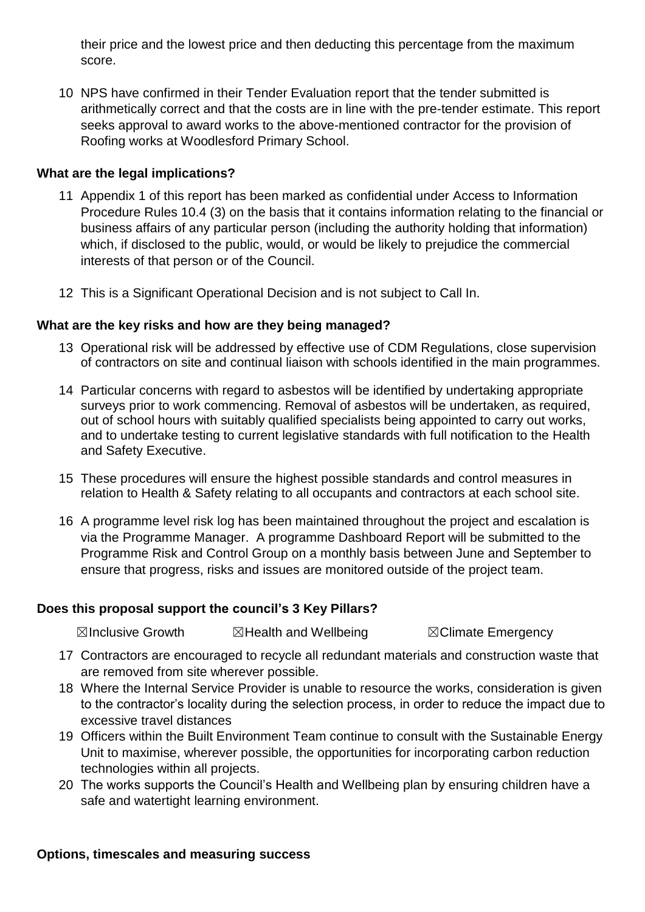their price and the lowest price and then deducting this percentage from the maximum score.

10 NPS have confirmed in their Tender Evaluation report that the tender submitted is arithmetically correct and that the costs are in line with the pre-tender estimate. This report seeks approval to award works to the above-mentioned contractor for the provision of Roofing works at Woodlesford Primary School.

#### **What are the legal implications?**

- 11 Appendix 1 of this report has been marked as confidential under Access to Information Procedure Rules 10.4 (3) on the basis that it contains information relating to the financial or business affairs of any particular person (including the authority holding that information) which, if disclosed to the public, would, or would be likely to prejudice the commercial interests of that person or of the Council.
- 12 This is a Significant Operational Decision and is not subject to Call In.

### **What are the key risks and how are they being managed?**

- 13 Operational risk will be addressed by effective use of CDM Regulations, close supervision of contractors on site and continual liaison with schools identified in the main programmes.
- 14 Particular concerns with regard to asbestos will be identified by undertaking appropriate surveys prior to work commencing. Removal of asbestos will be undertaken, as required, out of school hours with suitably qualified specialists being appointed to carry out works, and to undertake testing to current legislative standards with full notification to the Health and Safety Executive.
- 15 These procedures will ensure the highest possible standards and control measures in relation to Health & Safety relating to all occupants and contractors at each school site.
- 16 A programme level risk log has been maintained throughout the project and escalation is via the Programme Manager. A programme Dashboard Report will be submitted to the Programme Risk and Control Group on a monthly basis between June and September to ensure that progress, risks and issues are monitored outside of the project team.

#### **Does this proposal support the council's 3 Key Pillars?**

**⊠Inclusive Growth 2 ⊠Health and Wellbeing 7 SClimate Emergency** 

- 17 Contractors are encouraged to recycle all redundant materials and construction waste that are removed from site wherever possible.
- 18 Where the Internal Service Provider is unable to resource the works, consideration is given to the contractor's locality during the selection process, in order to reduce the impact due to excessive travel distances
- 19 Officers within the Built Environment Team continue to consult with the Sustainable Energy Unit to maximise, wherever possible, the opportunities for incorporating carbon reduction technologies within all projects.
- 20 The works supports the Council's Health and Wellbeing plan by ensuring children have a safe and watertight learning environment.

#### **Options, timescales and measuring success**